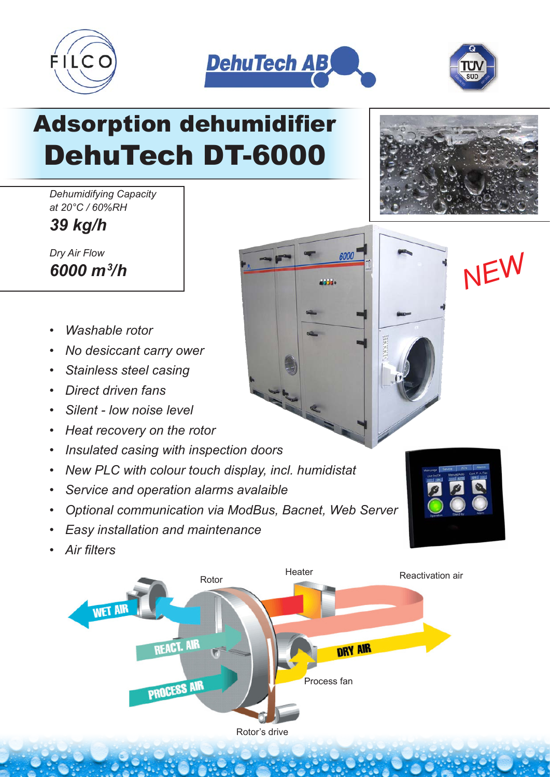





## Adsorption dehumidifier DehuTech DT-6000

*Dehumidifying Capacity at 20°C / 60%RH*

*39 kg/h*

*Dry Air Flow 6000 m3*

- *Washable rotor*
- *No desiccant carry ower*
- *Stainless steel casing*
- *Direct driven fans*
- *Silent low noise level*
- *Heat recovery on the rotor*
- *Insulated casing with inspection doors*
- *New PLC with colour touch display, incl. humidistat*
- *Service and operation alarms avalaible*
- *Optional communication via ModBus, Bacnet, Web Server*
- *Easy installation and maintenance*
- *Air filters*





*<i><u>6000</u>* **<b>T**</del> *I* **I I** *NEW*